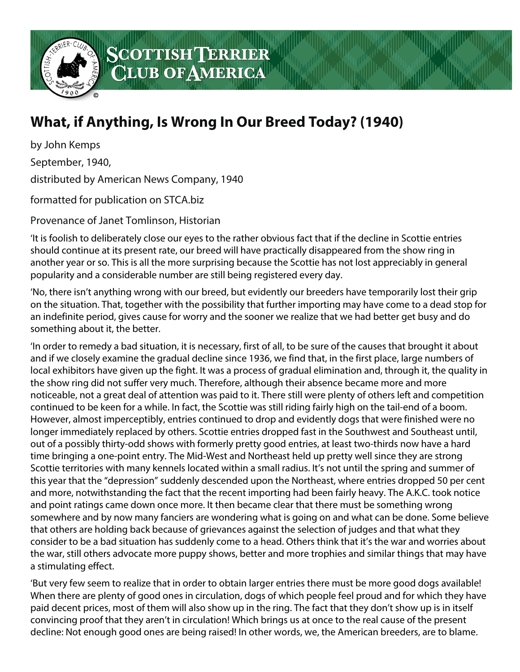

## SCOTTISHTERRIER<br>CLUB OF AMERICA

## **What, if Anything, Is Wrong In Our Breed Today? (1940)**

by John Kemps

September, 1940,

distributed by American News Company, 1940

formatted for publication on STCA.biz

Provenance of Janet Tomlinson, Historian

'It is foolish to deliberately close our eyes to the rather obvious fact that if the decline in Scottie entries should continue at its present rate, our breed will have practically disappeared from the show ring in another year or so. This is all the more surprising because the Scottie has not lost appreciably in general popularity and a considerable number are still being registered every day.

'No, there isn't anything wrong with our breed, but evidently our breeders have temporarily lost their grip on the situation. That, together with the possibility that further importing may have come to a dead stop for an indefinite period, gives cause for worry and the sooner we realize that we had better get busy and do something about it, the better.

'In order to remedy a bad situation, it is necessary, first of all, to be sure of the causes that brought it about and if we closely examine the gradual decline since 1936, we find that, in the first place, large numbers of local exhibitors have given up the fight. It was a process of gradual elimination and, through it, the quality in the show ring did not suffer very much. Therefore, although their absence became more and more noticeable, not a great deal of attention was paid to it. There still were plenty of others left and competition continued to be keen for a while. In fact, the Scottie was still riding fairly high on the tail-end of a boom. However, almost imperceptibly, entries continued to drop and evidently dogs that were finished were no longer immediately replaced by others. Scottie entries dropped fast in the Southwest and Southeast until, out of a possibly thirty-odd shows with formerly pretty good entries, at least two-thirds now have a hard time bringing a one-point entry. The Mid-West and Northeast held up pretty well since they are strong Scottie territories with many kennels located within a small radius. It's not until the spring and summer of this year that the "depression" suddenly descended upon the Northeast, where entries dropped 50 per cent and more, notwithstanding the fact that the recent importing had been fairly heavy. The A.K.C. took notice and point ratings came down once more. It then became clear that there must be something wrong somewhere and by now many fanciers are wondering what is going on and what can be done. Some believe that others are holding back because of grievances against the selection of judges and that what they consider to be a bad situation has suddenly come to a head. Others think that it's the war and worries about the war, still others advocate more puppy shows, better and more trophies and similar things that may have a stimulating effect.

'But very few seem to realize that in order to obtain larger entries there must be more good dogs available! When there are plenty of good ones in circulation, dogs of which people feel proud and for which they have paid decent prices, most of them will also show up in the ring. The fact that they don't show up is in itself convincing proof that they aren't in circulation! Which brings us at once to the real cause of the present decline: Not enough good ones are being raised! In other words, we, the American breeders, are to blame.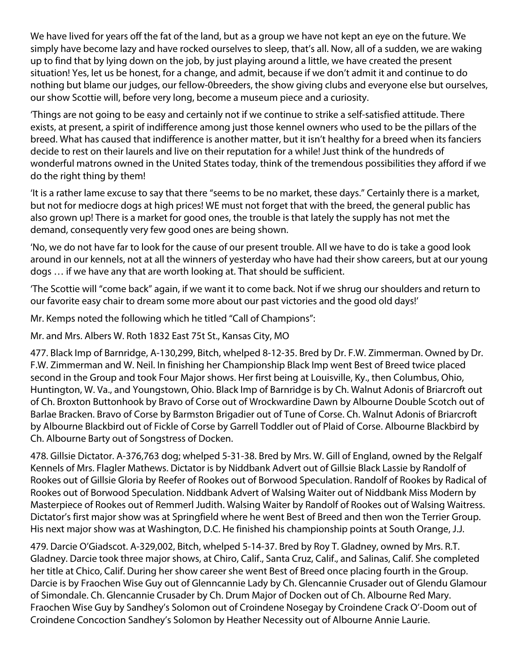We have lived for years off the fat of the land, but as a group we have not kept an eye on the future. We simply have become lazy and have rocked ourselves to sleep, that's all. Now, all of a sudden, we are waking up to find that by lying down on the job, by just playing around a little, we have created the present situation! Yes, let us be honest, for a change, and admit, because if we don't admit it and continue to do nothing but blame our judges, our fellow-0breeders, the show giving clubs and everyone else but ourselves, our show Scottie will, before very long, become a museum piece and a curiosity.

'Things are not going to be easy and certainly not if we continue to strike a self-satisfied attitude. There exists, at present, a spirit of indifference among just those kennel owners who used to be the pillars of the breed. What has caused that indifference is another matter, but it isn't healthy for a breed when its fanciers decide to rest on their laurels and live on their reputation for a while! Just think of the hundreds of wonderful matrons owned in the United States today, think of the tremendous possibilities they afford if we do the right thing by them!

'It is a rather lame excuse to say that there "seems to be no market, these days." Certainly there is a market, but not for mediocre dogs at high prices! WE must not forget that with the breed, the general public has also grown up! There is a market for good ones, the trouble is that lately the supply has not met the demand, consequently very few good ones are being shown.

'No, we do not have far to look for the cause of our present trouble. All we have to do is take a good look around in our kennels, not at all the winners of yesterday who have had their show careers, but at our young dogs … if we have any that are worth looking at. That should be sufficient.

'The Scottie will "come back" again, if we want it to come back. Not if we shrug our shoulders and return to our favorite easy chair to dream some more about our past victories and the good old days!'

Mr. Kemps noted the following which he titled "Call of Champions":

Mr. and Mrs. Albers W. Roth 1832 East 75t St., Kansas City, MO

477. Black Imp of Barnridge, A-130,299, Bitch, whelped 8-12-35. Bred by Dr. F.W. Zimmerman. Owned by Dr. F.W. Zimmerman and W. Neil. In finishing her Championship Black Imp went Best of Breed twice placed second in the Group and took Four Major shows. Her first being at Louisville, Ky., then Columbus, Ohio, Huntington, W. Va., and Youngstown, Ohio. Black Imp of Barnridge is by Ch. Walnut Adonis of Briarcroft out of Ch. Broxton Buttonhook by Bravo of Corse out of Wrockwardine Dawn by Albourne Double Scotch out of Barlae Bracken. Bravo of Corse by Barmston Brigadier out of Tune of Corse. Ch. Walnut Adonis of Briarcroft by Albourne Blackbird out of Fickle of Corse by Garrell Toddler out of Plaid of Corse. Albourne Blackbird by Ch. Albourne Barty out of Songstress of Docken.

478. Gillsie Dictator. A-376,763 dog; whelped 5-31-38. Bred by Mrs. W. Gill of England, owned by the Relgalf Kennels of Mrs. Flagler Mathews. Dictator is by Niddbank Advert out of Gillsie Black Lassie by Randolf of Rookes out of Gillsie Gloria by Reefer of Rookes out of Borwood Speculation. Randolf of Rookes by Radical of Rookes out of Borwood Speculation. Niddbank Advert of Walsing Waiter out of Niddbank Miss Modern by Masterpiece of Rookes out of Remmerl Judith. Walsing Waiter by Randolf of Rookes out of Walsing Waitress. Dictator's first major show was at Springfield where he went Best of Breed and then won the Terrier Group. His next major show was at Washington, D.C. He finished his championship points at South Orange, J.J.

479. Darcie O'Giadscot. A-329,002, Bitch, whelped 5-14-37. Bred by Roy T. Gladney, owned by Mrs. R.T. Gladney. Darcie took three major shows, at Chiro, Calif., Santa Cruz, Calif., and Salinas, Calif. She completed her title at Chico, Calif. During her show career she went Best of Breed once placing fourth in the Group. Darcie is by Fraochen Wise Guy out of Glenncannie Lady by Ch. Glencannie Crusader out of Glendu Glamour of Simondale. Ch. Glencannie Crusader by Ch. Drum Major of Docken out of Ch. Albourne Red Mary. Fraochen Wise Guy by Sandhey's Solomon out of Croindene Nosegay by Croindene Crack O'-Doom out of Croindene Concoction Sandhey's Solomon by Heather Necessity out of Albourne Annie Laurie.